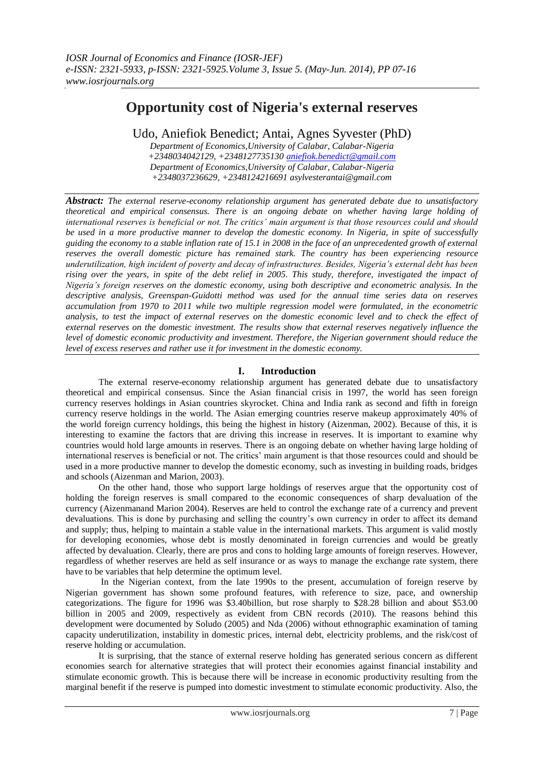# **Opportunity cost of Nigeria's external reserves**

Udo, Aniefiok Benedict; Antai, Agnes Syvester (PhD)

*Department of Economics,University of Calabar, Calabar-Nigeria +2348034042129, +2348127735130 [aniefiok.benedict@gmail.com](mailto:aniefiok.benedict@gmail.com) Department of Economics,University of Calabar, Calabar-Nigeria +2348037236629, +2348124216691 asylvesterantai@gmail.com*

*Abstract: The external reserve-economy relationship argument has generated debate due to unsatisfactory theoretical and empirical consensus. There is an ongoing debate on whether having large holding of international reserves is beneficial or not. The critics' main argument is that those resources could and should be used in a more productive manner to develop the domestic economy. In Nigeria, in spite of successfully guiding the economy to a stable inflation rate of 15.1 in 2008 in the face of an unprecedented growth of external reserves the overall domestic picture has remained stark. The country has been experiencing resource underutilization, high incident of poverty and decay of infrastructures. Besides, Nigeria's external debt has been rising over the years, in spite of the debt relief in 2005. This study, therefore, investigated the impact of Nigeria's foreign reserves on the domestic economy, using both descriptive and econometric analysis. In the descriptive analysis, Greenspan-Guidotti method was used for the annual time series data on reserves accumulation from 1970 to 2011 while two multiple regression model were formulated, in the econometric analysis, to test the impact of external reserves on the domestic economic level and to check the effect of external reserves on the domestic investment. The results show that external reserves negatively influence the level of domestic economic productivity and investment. Therefore, the Nigerian government should reduce the level of excess reserves and rather use it for investment in the domestic economy.*

## **I. Introduction**

The external reserve-economy relationship argument has generated debate due to unsatisfactory theoretical and empirical consensus. Since the Asian financial crisis in 1997, the world has seen foreign currency reserves holdings in Asian countries skyrocket. China and India rank as second and fifth in foreign currency reserve holdings in the world. The Asian emerging countries reserve makeup approximately 40% of the world foreign currency holdings, this being the highest in history (Aizenman, 2002). Because of this, it is interesting to examine the factors that are driving this increase in reserves. It is important to examine why countries would hold large amounts in reserves. There is an ongoing debate on whether having large holding of international reserves is beneficial or not. The critics' main argument is that those resources could and should be used in a more productive manner to develop the domestic economy, such as investing in building roads, bridges and schools (Aizenman and Marion, 2003).

On the other hand, those who support large holdings of reserves argue that the opportunity cost of holding the foreign reserves is small compared to the economic consequences of sharp devaluation of the currency (Aizenmanand Marion 2004). Reserves are held to control the exchange rate of a currency and prevent devaluations. This is done by purchasing and selling the country's own currency in order to affect its demand and supply; thus, helping to maintain a stable value in the international markets. This argument is valid mostly for developing economies, whose debt is mostly denominated in foreign currencies and would be greatly affected by devaluation. Clearly, there are pros and cons to holding large amounts of foreign reserves. However, regardless of whether reserves are held as self insurance or as ways to manage the exchange rate system, there have to be variables that help determine the optimum level.

In the Nigerian context, from the late 1990s to the present, accumulation of foreign reserve by Nigerian government has shown some profound features, with reference to size, pace, and ownership categorizations. The figure for 1996 was \$3.40billion, but rose sharply to \$28.28 billion and about \$53.00 billion in 2005 and 2009, respectively as evident from CBN records (2010). The reasons behind this development were documented by Soludo (2005) and Nda (2006) without ethnographic examination of taming capacity underutilization, instability in domestic prices, internal debt, electricity problems, and the risk/cost of reserve holding or accumulation.

It is surprising, that the stance of external reserve holding has generated serious concern as different economies search for alternative strategies that will protect their economies against financial instability and stimulate economic growth. This is because there will be increase in economic productivity resulting from the marginal benefit if the reserve is pumped into domestic investment to stimulate economic productivity. Also, the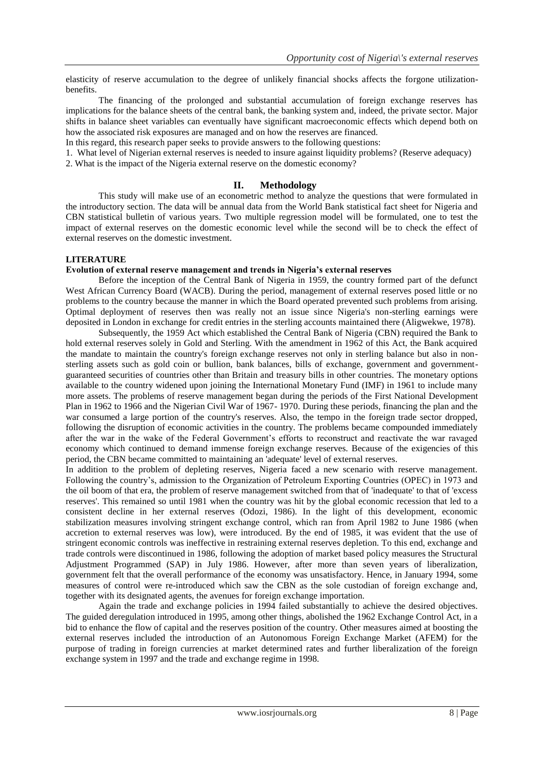elasticity of reserve accumulation to the degree of unlikely financial shocks affects the forgone utilizationbenefits.

The financing of the prolonged and substantial accumulation of foreign exchange reserves has implications for the balance sheets of the central bank, the banking system and, indeed, the private sector. Major shifts in balance sheet variables can eventually have significant macroeconomic effects which depend both on how the associated risk exposures are managed and on how the reserves are financed.

In this regard, this research paper seeks to provide answers to the following questions:

1. What level of Nigerian external reserves is needed to insure against liquidity problems? (Reserve adequacy) 2. What is the impact of the Nigeria external reserve on the domestic economy?

## **II. Methodology**

This study will make use of an econometric method to analyze the questions that were formulated in the introductory section. The data will be annual data from the World Bank statistical fact sheet for Nigeria and CBN statistical bulletin of various years. Two multiple regression model will be formulated, one to test the impact of external reserves on the domestic economic level while the second will be to check the effect of external reserves on the domestic investment.

## **LITERATURE**

## **Evolution of external reserve management and trends in Nigeria's external reserves**

Before the inception of the Central Bank of Nigeria in 1959, the country formed part of the defunct West African Currency Board (WACB). During the period, management of external reserves posed little or no problems to the country because the manner in which the Board operated prevented such problems from arising. Optimal deployment of reserves then was really not an issue since Nigeria's non-sterling earnings were deposited in London in exchange for credit entries in the sterling accounts maintained there (Aligwekwe, 1978).

Subsequently, the 1959 Act which established the Central Bank of Nigeria (CBN) required the Bank to hold external reserves solely in Gold and Sterling. With the amendment in 1962 of this Act, the Bank acquired the mandate to maintain the country's foreign exchange reserves not only in sterling balance but also in nonsterling assets such as gold coin or bullion, bank balances, bills of exchange, government and governmentguaranteed securities of countries other than Britain and treasury bills in other countries. The monetary options available to the country widened upon joining the International Monetary Fund (IMF) in 1961 to include many more assets. The problems of reserve management began during the periods of the First National Development Plan in 1962 to 1966 and the Nigerian Civil War of 1967- 1970. During these periods, financing the plan and the war consumed a large portion of the country's reserves. Also, the tempo in the foreign trade sector dropped, following the disruption of economic activities in the country. The problems became compounded immediately after the war in the wake of the Federal Government's efforts to reconstruct and reactivate the war ravaged economy which continued to demand immense foreign exchange reserves. Because of the exigencies of this period, the CBN became committed to maintaining an 'adequate' level of external reserves.

In addition to the problem of depleting reserves, Nigeria faced a new scenario with reserve management. Following the country's, admission to the Organization of Petroleum Exporting Countries (OPEC) in 1973 and the oil boom of that era, the problem of reserve management switched from that of 'inadequate' to that of 'excess reserves'. This remained so until 1981 when the country was hit by the global economic recession that led to a consistent decline in her external reserves (Odozi, 1986). In the light of this development, economic stabilization measures involving stringent exchange control, which ran from April 1982 to June 1986 (when accretion to external reserves was low), were introduced. By the end of 1985, it was evident that the use of stringent economic controls was ineffective in restraining external reserves depletion. To this end, exchange and trade controls were discontinued in 1986, following the adoption of market based policy measures the Structural Adjustment Programmed (SAP) in July 1986. However, after more than seven years of liberalization, government felt that the overall performance of the economy was unsatisfactory. Hence, in January 1994, some measures of control were re-introduced which saw the CBN as the sole custodian of foreign exchange and, together with its designated agents, the avenues for foreign exchange importation.

Again the trade and exchange policies in 1994 failed substantially to achieve the desired objectives. The guided deregulation introduced in 1995, among other things, abolished the 1962 Exchange Control Act, in a bid to enhance the flow of capital and the reserves position of the country. Other measures aimed at boosting the external reserves included the introduction of an Autonomous Foreign Exchange Market (AFEM) for the purpose of trading in foreign currencies at market determined rates and further liberalization of the foreign exchange system in 1997 and the trade and exchange regime in 1998.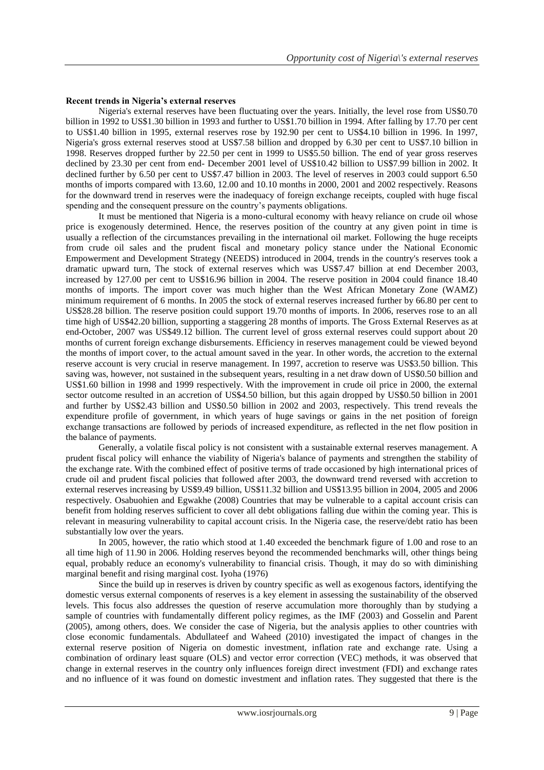## **Recent trends in Nigeria's external reserves**

Nigeria's external reserves have been fluctuating over the years. Initially, the level rose from US\$0.70 billion in 1992 to US\$1.30 billion in 1993 and further to US\$1.70 billion in 1994. After falling by 17.70 per cent to US\$1.40 billion in 1995, external reserves rose by 192.90 per cent to US\$4.10 billion in 1996. In 1997, Nigeria's gross external reserves stood at US\$7.58 billion and dropped by 6.30 per cent to US\$7.10 billion in 1998. Reserves dropped further by 22.50 per cent in 1999 to US\$5.50 billion. The end of year gross reserves declined by 23.30 per cent from end- December 2001 level of US\$10.42 billion to US\$7.99 billion in 2002. It declined further by 6.50 per cent to US\$7.47 billion in 2003. The level of reserves in 2003 could support 6.50 months of imports compared with 13.60, 12.00 and 10.10 months in 2000, 2001 and 2002 respectively. Reasons for the downward trend in reserves were the inadequacy of foreign exchange receipts, coupled with huge fiscal spending and the consequent pressure on the country's payments obligations.

It must be mentioned that Nigeria is a mono-cultural economy with heavy reliance on crude oil whose price is exogenously determined. Hence, the reserves position of the country at any given point in time is usually a reflection of the circumstances prevailing in the international oil market. Following the huge receipts from crude oil sales and the prudent fiscal and monetary policy stance under the National Economic Empowerment and Development Strategy (NEEDS) introduced in 2004, trends in the country's reserves took a dramatic upward turn, The stock of external reserves which was US\$7.47 billion at end December 2003, increased by 127.00 per cent to US\$16.96 billion in 2004. The reserve position in 2004 could finance 18.40 months of imports. The import cover was much higher than the West African Monetary Zone (WAMZ) minimum requirement of 6 months. In 2005 the stock of external reserves increased further by 66.80 per cent to US\$28.28 billion. The reserve position could support 19.70 months of imports. In 2006, reserves rose to an all time high of US\$42.20 billion, supporting a staggering 28 months of imports. The Gross External Reserves as at end-October, 2007 was US\$49.12 billion. The current level of gross external reserves could support about 20 months of current foreign exchange disbursements. Efficiency in reserves management could be viewed beyond the months of import cover, to the actual amount saved in the year. In other words, the accretion to the external reserve account is very crucial in reserve management. In 1997, accretion to reserve was US\$3.50 billion. This saving was, however, not sustained in the subsequent years, resulting in a net draw down of US\$0.50 billion and US\$1.60 billion in 1998 and 1999 respectively. With the improvement in crude oil price in 2000, the external sector outcome resulted in an accretion of US\$4.50 billion, but this again dropped by US\$0.50 billion in 2001 and further by US\$2.43 billion and US\$0.50 billion in 2002 and 2003, respectively. This trend reveals the expenditure profile of government, in which years of huge savings or gains in the net position of foreign exchange transactions are followed by periods of increased expenditure, as reflected in the net flow position in the balance of payments.

Generally, a volatile fiscal policy is not consistent with a sustainable external reserves management. A prudent fiscal policy will enhance the viability of Nigeria's balance of payments and strengthen the stability of the exchange rate. With the combined effect of positive terms of trade occasioned by high international prices of crude oil and prudent fiscal policies that followed after 2003, the downward trend reversed with accretion to external reserves increasing by US\$9.49 billion, US\$11.32 billion and US\$13.95 billion in 2004, 2005 and 2006 respectively. Osabuohien and Egwakhe (2008) Countries that may be vulnerable to a capital account crisis can benefit from holding reserves sufficient to cover all debt obligations falling due within the coming year. This is relevant in measuring vulnerability to capital account crisis. In the Nigeria case, the reserve/debt ratio has been substantially low over the years.

In 2005, however, the ratio which stood at 1.40 exceeded the benchmark figure of 1.00 and rose to an all time high of 11.90 in 2006. Holding reserves beyond the recommended benchmarks will, other things being equal, probably reduce an economy's vulnerability to financial crisis. Though, it may do so with diminishing marginal benefit and rising marginal cost. Iyoha (1976)

Since the build up in reserves is driven by country specific as well as exogenous factors, identifying the domestic versus external components of reserves is a key element in assessing the sustainability of the observed levels. This focus also addresses the question of reserve accumulation more thoroughly than by studying a sample of countries with fundamentally different policy regimes, as the IMF (2003) and Gosselin and Parent (2005), among others, does. We consider the case of Nigeria, but the analysis applies to other countries with close economic fundamentals. Abdullateef and Waheed (2010) investigated the impact of changes in the external reserve position of Nigeria on domestic investment, inflation rate and exchange rate. Using a combination of ordinary least square (OLS) and vector error correction (VEC) methods, it was observed that change in external reserves in the country only influences foreign direct investment (FDI) and exchange rates and no influence of it was found on domestic investment and inflation rates. They suggested that there is the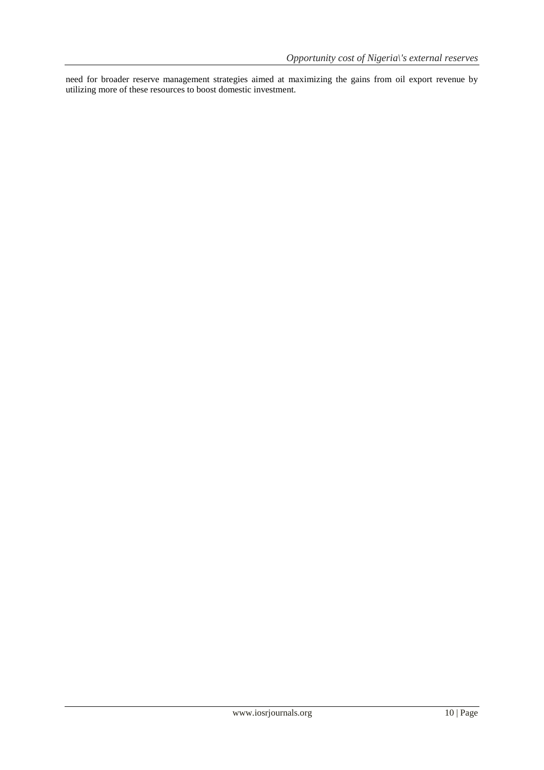need for broader reserve management strategies aimed at maximizing the gains from oil export revenue by utilizing more of these resources to boost domestic investment.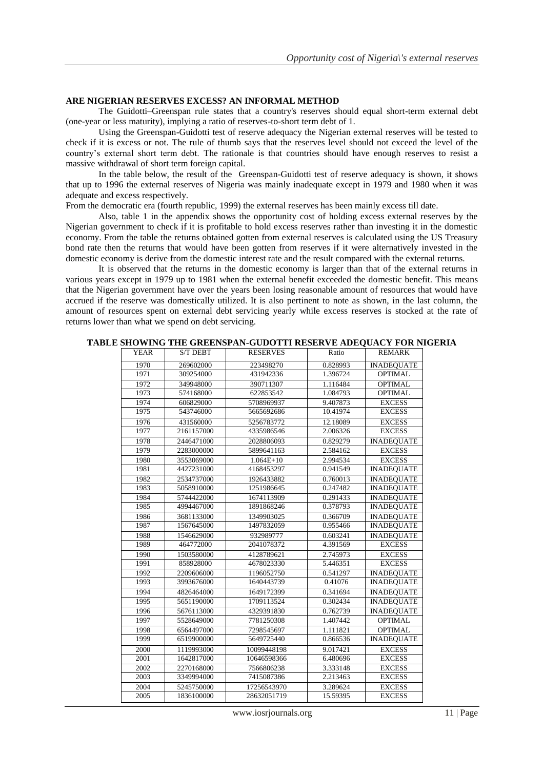#### **ARE NIGERIAN RESERVES EXCESS? AN INFORMAL METHOD**

The Guidotti–Greenspan rule states that a country's reserves should equal short-term external debt (one-year or less maturity), implying a ratio of reserves-to-short term debt of 1.

Using the Greenspan-Guidotti test of reserve adequacy the Nigerian external reserves will be tested to check if it is excess or not. The rule of thumb says that the reserves level should not exceed the level of the country's external short term debt. The rationale is that countries should have enough reserves to resist a massive withdrawal of short term foreign capital.

In the table below, the result of the Greenspan-Guidotti test of reserve adequacy is shown, it shows that up to 1996 the external reserves of Nigeria was mainly inadequate except in 1979 and 1980 when it was adequate and excess respectively.

From the democratic era (fourth republic, 1999) the external reserves has been mainly excess till date.

Also, table 1 in the appendix shows the opportunity cost of holding excess external reserves by the Nigerian government to check if it is profitable to hold excess reserves rather than investing it in the domestic economy. From the table the returns obtained gotten from external reserves is calculated using the US Treasury bond rate then the returns that would have been gotten from reserves if it were alternatively invested in the domestic economy is derive from the domestic interest rate and the result compared with the external returns.

It is observed that the returns in the domestic economy is larger than that of the external returns in various years except in 1979 up to 1981 when the external benefit exceeded the domestic benefit. This means that the Nigerian government have over the years been losing reasonable amount of resources that would have accrued if the reserve was domestically utilized. It is also pertinent to note as shown, in the last column, the amount of resources spent on external debt servicing yearly while excess reserves is stocked at the rate of returns lower than what we spend on debt servicing.

|  |  | TABLE SHOWING THE GREENSPAN-GUDOTTI RESERVE ADEOUACY FOR NIGERIA |  |  |  |  |  |  |  |  |  |  |  |  |  |  |
|--|--|------------------------------------------------------------------|--|--|--|--|--|--|--|--|--|--|--|--|--|--|
|--|--|------------------------------------------------------------------|--|--|--|--|--|--|--|--|--|--|--|--|--|--|

| <b>YEAR</b> | <b>S/T DEBT</b> | <b>RESERVES</b> | Ratio    | <b>REMARK</b>     |
|-------------|-----------------|-----------------|----------|-------------------|
| 1970        | 269602000       | 223498270       | 0.828993 | <b>INADEOUATE</b> |
| 1971        | 309254000       | 431942336       | 1.396724 | <b>OPTIMAL</b>    |
| 1972        | 349948000       | 390711307       | 1.116484 | <b>OPTIMAL</b>    |
| 1973        | 574168000       | 622853542       | 1.084793 | <b>OPTIMAL</b>    |
| 1974        | 606829000       | 5708969937      | 9.407873 | <b>EXCESS</b>     |
| 1975        | 543746000       | 5665692686      | 10.41974 | <b>EXCESS</b>     |
| 1976        | 431560000       | 5256783772      | 12.18089 | <b>EXCESS</b>     |
| 1977        | 2161157000      | 4335986546      | 2.006326 | <b>EXCESS</b>     |
| 1978        | 2446471000      | 2028806093      | 0.829279 | <b>INADEOUATE</b> |
| 1979        | 2283000000      | 5899641163      | 2.584162 | <b>EXCESS</b>     |
| 1980        | 3553069000      | $1.064E+10$     | 2.994534 | <b>EXCESS</b>     |
| 1981        | 4427231000      | 4168453297      | 0.941549 | <b>INADEQUATE</b> |
| 1982        | 2534737000      | 1926433882      | 0.760013 | <b>INADEQUATE</b> |
| 1983        | 5058910000      | 1251986645      | 0.247482 | <b>INADEOUATE</b> |
| 1984        | 5744422000      | 1674113909      | 0.291433 | <b>INADEQUATE</b> |
| 1985        | 4994467000      | 1891868246      | 0.378793 | <b>INADEQUATE</b> |
| 1986        | 3681133000      | 1349903025      | 0.366709 | <b>INADEQUATE</b> |
| 1987        | 1567645000      | 1497832059      | 0.955466 | <b>INADEQUATE</b> |
| 1988        | 1546629000      | 932989777       | 0.603241 | <b>INADEOUATE</b> |
| 1989        | 464772000       | 2041078372      | 4.391569 | <b>EXCESS</b>     |
| 1990        | 1503580000      | 4128789621      | 2.745973 | <b>EXCESS</b>     |
| 1991        | 858928000       | 4678023330      | 5.446351 | <b>EXCESS</b>     |
| 1992        | 2209606000      | 1196052750      | 0.541297 | <b>INADEOUATE</b> |
| 1993        | 3993676000      | 1640443739      | 0.41076  | <b>INADEQUATE</b> |
| 1994        | 4826464000      | 1649172399      | 0.341694 | <b>INADEOUATE</b> |
| 1995        | 5651190000      | 1709113524      | 0.302434 | <b>INADEQUATE</b> |
| 1996        | 5676113000      | 4329391830      | 0.762739 | <b>INADEOUATE</b> |
| 1997        | 5528649000      | 7781250308      | 1.407442 | <b>OPTIMAL</b>    |
| 1998        | 6564497000      | 7298545697      | 1.111821 | <b>OPTIMAL</b>    |
| 1999        | 6519900000      | 5649725440      | 0.866536 | <b>INADEQUATE</b> |
| 2000        | 1119993000      | 10099448198     | 9.017421 | <b>EXCESS</b>     |
| 2001        | 1642817000      | 10646598366     | 6.480696 | <b>EXCESS</b>     |
| 2002        | 2270168000      | 7566806238      | 3.333148 | <b>EXCESS</b>     |
| 2003        | 3349994000      | 7415087386      | 2.213463 | <b>EXCESS</b>     |
| 2004        | 5245750000      | 17256543970     | 3.289624 | <b>EXCESS</b>     |
| 2005        | 1836100000      | 28632051719     | 15.59395 | <b>EXCESS</b>     |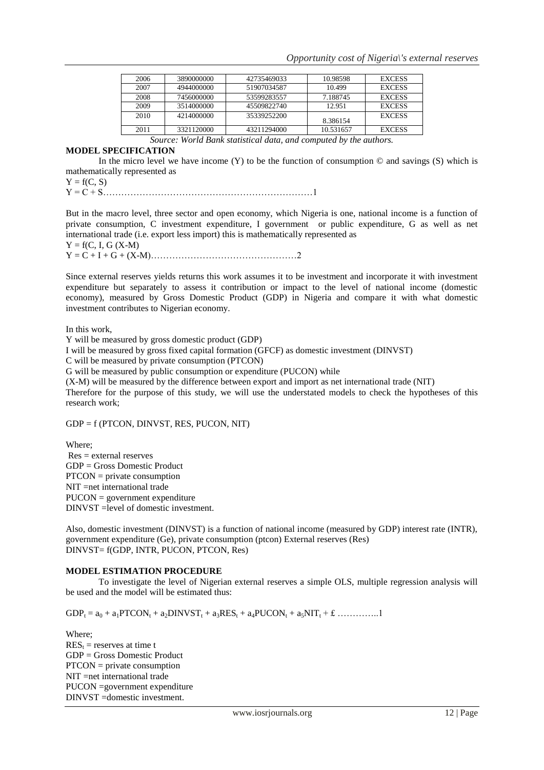| 2006 | 3890000000 | 42735469033 | 10.98598  | <b>EXCESS</b> |
|------|------------|-------------|-----------|---------------|
| 2007 | 4944000000 | 51907034587 | 10.499    | <b>EXCESS</b> |
| 2008 | 7456000000 | 53599283557 | 7.188745  | <b>EXCESS</b> |
| 2009 | 3514000000 | 45509822740 | 12.951    | <b>EXCESS</b> |
| 2010 | 4214000000 | 35339252200 | 8.386154  | <b>EXCESS</b> |
| 2011 | 3321120000 | 43211294000 | 10.531657 | <b>EXCESS</b> |

*Source: World Bank statistical data, and computed by the authors.*

## **MODEL SPECIFICATION**

In the micro level we have income  $(Y)$  to be the function of consumption  $\odot$  and savings  $(S)$  which is mathematically represented as

 $Y = f(C, S)$ 

Y = C + S……………………………………………………………1

But in the macro level, three sector and open economy, which Nigeria is one, national income is a function of private consumption, C investment expenditure, I government or public expenditure, G as well as net international trade (i.e. export less import) this is mathematically represented as  $Y = f(C, I, G (X-M))$ 

Y = C + I + G + (X-M)…………………………………………2

Since external reserves yields returns this work assumes it to be investment and incorporate it with investment expenditure but separately to assess it contribution or impact to the level of national income (domestic economy), measured by Gross Domestic Product (GDP) in Nigeria and compare it with what domestic investment contributes to Nigerian economy.

In this work,

Y will be measured by gross domestic product (GDP)

I will be measured by gross fixed capital formation (GFCF) as domestic investment (DINVST)

C will be measured by private consumption (PTCON)

G will be measured by public consumption or expenditure (PUCON) while

(X-M) will be measured by the difference between export and import as net international trade (NIT)

Therefore for the purpose of this study, we will use the understated models to check the hypotheses of this research work;

GDP = f (PTCON, DINVST, RES, PUCON, NIT)

Where; Res = external reserves GDP = Gross Domestic Product PTCON = private consumption NIT =net international trade PUCON = government expenditure DINVST =level of domestic investment.

Also, domestic investment (DINVST) is a function of national income (measured by GDP) interest rate (INTR), government expenditure (Ge), private consumption (ptcon) External reserves (Res) DINVST= f(GDP, INTR, PUCON, PTCON, Res)

## **MODEL ESTIMATION PROCEDURE**

To investigate the level of Nigerian external reserves a simple OLS, multiple regression analysis will be used and the model will be estimated thus:

 $GDP_t = a_0 + a_1 PTCON_t + a_2 DINVST_t + a_3 RES_t + a_4 PUCON_t + a_5 NIT_t + E \dots$ 

Where;  $RES<sub>t</sub>$  = reserves at time t GDP = Gross Domestic Product PTCON = private consumption NIT =net international trade PUCON =government expenditure DINVST =domestic investment.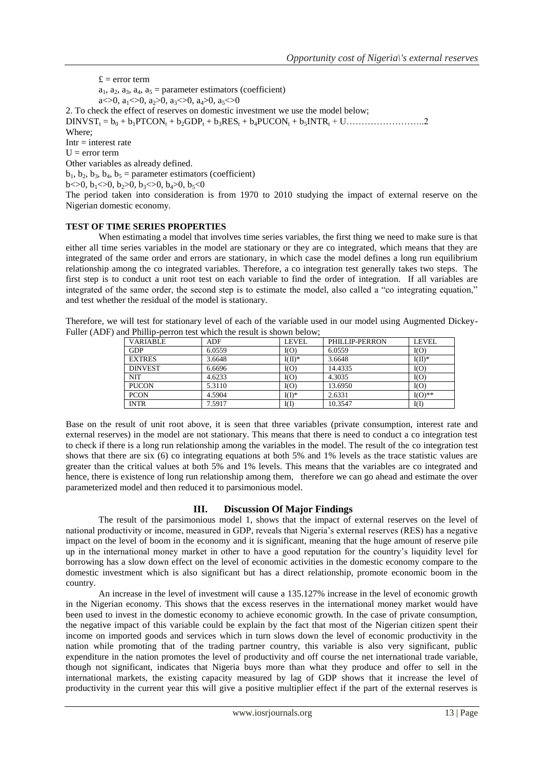$f = error term$  $a_1, a_2, a_3, a_4, a_5$  = parameter estimators (coefficient) a $\lt$  $0, a_1 \lt 0, a_2 \gt 0, a_3 \lt 0, a_4 \gt 0, a_5 \lt 0$ 2. To check the effect of reserves on domestic investment we use the model below; DINVST<sup>t</sup> = b<sup>0</sup> + b1PTCON<sup>t</sup> + b2GDP<sup>t</sup> + b3RES<sup>t</sup> + b4PUCON<sup>t</sup> + b5INTR<sup>t</sup> + U……………………..2 Where;  $Intr = interest rate$  $U = error term$ Other variables as already defined.  $b_1$ ,  $b_2$ ,  $b_3$ ,  $b_4$ ,  $b_5$  = parameter estimators (coefficient)  $b \ll 0$ ,  $b_1 \ll 0$ ,  $b_2 \gg 0$ ,  $b_3 \ll 0$ ,  $b_4 \gg 0$ ,  $b_5 \ll 0$ The period taken into consideration is from 1970 to 2010 studying the impact of external reserve on the Nigerian domestic economy.

## **TEST OF TIME SERIES PROPERTIES**

When estimating a model that involves time series variables, the first thing we need to make sure is that either all time series variables in the model are stationary or they are co integrated, which means that they are integrated of the same order and errors are stationary, in which case the model defines a long run equilibrium relationship among the co integrated variables. Therefore, a co integration test generally takes two steps. The first step is to conduct a unit root test on each variable to find the order of integration. If all variables are integrated of the same order, the second step is to estimate the model, also called a "co integrating equation," and test whether the residual of the model is stationary.

Therefore, we will test for stationary level of each of the variable used in our model using Augmented Dickey-Fuller (ADF) and Phillip-perron test which the result is shown below;

| <b>VARIABLE</b> | ADF    | LEVEL.   | PHILLIP-PERRON | LEVEL     |
|-----------------|--------|----------|----------------|-----------|
| <b>GDP</b>      | 6.0559 | I(O)     | 6.0559         | I(O)      |
| <b>EXTRES</b>   | 3.6648 | $I(II)*$ | 3.6648         | $I(II)^*$ |
| <b>DINVEST</b>  | 6.6696 | I(O)     | 14.4335        | I(O)      |
| NIT             | 4.6233 | I(O)     | 4.3035         | I(O)      |
| <b>PUCON</b>    | 5.3110 | I(O)     | 13.6950        | I(O)      |
| <b>PCON</b>     | 4.5904 | $I(I)^*$ | 2.6331         | $I(O)$ ** |
| <b>INTR</b>     | 7.5917 | I(I)     | 10.3547        | I(I)      |

Base on the result of unit root above, it is seen that three variables (private consumption, interest rate and external reserves) in the model are not stationary. This means that there is need to conduct a co integration test to check if there is a long run relationship among the variables in the model. The result of the co integration test shows that there are six (6) co integrating equations at both 5% and 1% levels as the trace statistic values are greater than the critical values at both 5% and 1% levels. This means that the variables are co integrated and hence, there is existence of long run relationship among them, therefore we can go ahead and estimate the over parameterized model and then reduced it to parsimonious model.

## **III. Discussion Of Major Findings**

The result of the parsimonious model 1, shows that the impact of external reserves on the level of national productivity or income, measured in GDP, reveals that Nigeria's external reserves (RES) has a negative impact on the level of boom in the economy and it is significant, meaning that the huge amount of reserve pile up in the international money market in other to have a good reputation for the country's liquidity level for borrowing has a slow down effect on the level of economic activities in the domestic economy compare to the domestic investment which is also significant but has a direct relationship, promote economic boom in the country.

An increase in the level of investment will cause a 135.127% increase in the level of economic growth in the Nigerian economy. This shows that the excess reserves in the international money market would have been used to invest in the domestic economy to achieve economic growth. In the case of private consumption, the negative impact of this variable could be explain by the fact that most of the Nigerian citizen spent their income on imported goods and services which in turn slows down the level of economic productivity in the nation while promoting that of the trading partner country, this variable is also very significant, public expenditure in the nation promotes the level of productivity and off course the net international trade variable, though not significant, indicates that Nigeria buys more than what they produce and offer to sell in the international markets, the existing capacity measured by lag of GDP shows that it increase the level of productivity in the current year this will give a positive multiplier effect if the part of the external reserves is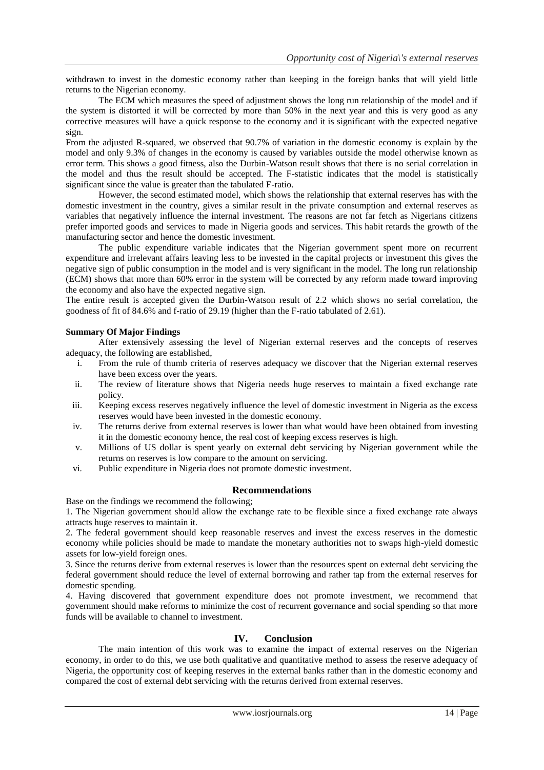withdrawn to invest in the domestic economy rather than keeping in the foreign banks that will yield little returns to the Nigerian economy.

The ECM which measures the speed of adjustment shows the long run relationship of the model and if the system is distorted it will be corrected by more than 50% in the next year and this is very good as any corrective measures will have a quick response to the economy and it is significant with the expected negative sign.

From the adjusted R-squared, we observed that 90.7% of variation in the domestic economy is explain by the model and only 9.3% of changes in the economy is caused by variables outside the model otherwise known as error term. This shows a good fitness, also the Durbin-Watson result shows that there is no serial correlation in the model and thus the result should be accepted. The F-statistic indicates that the model is statistically significant since the value is greater than the tabulated F-ratio.

However, the second estimated model, which shows the relationship that external reserves has with the domestic investment in the country, gives a similar result in the private consumption and external reserves as variables that negatively influence the internal investment. The reasons are not far fetch as Nigerians citizens prefer imported goods and services to made in Nigeria goods and services. This habit retards the growth of the manufacturing sector and hence the domestic investment.

The public expenditure variable indicates that the Nigerian government spent more on recurrent expenditure and irrelevant affairs leaving less to be invested in the capital projects or investment this gives the negative sign of public consumption in the model and is very significant in the model. The long run relationship (ECM) shows that more than 60% error in the system will be corrected by any reform made toward improving the economy and also have the expected negative sign.

The entire result is accepted given the Durbin-Watson result of 2.2 which shows no serial correlation, the goodness of fit of 84.6% and f-ratio of 29.19 (higher than the F-ratio tabulated of 2.61).

## **Summary Of Major Findings**

After extensively assessing the level of Nigerian external reserves and the concepts of reserves adequacy, the following are established,

- i. From the rule of thumb criteria of reserves adequacy we discover that the Nigerian external reserves have been excess over the years.
- ii. The review of literature shows that Nigeria needs huge reserves to maintain a fixed exchange rate policy.
- iii. Keeping excess reserves negatively influence the level of domestic investment in Nigeria as the excess reserves would have been invested in the domestic economy.
- iv. The returns derive from external reserves is lower than what would have been obtained from investing it in the domestic economy hence, the real cost of keeping excess reserves is high.
- v. Millions of US dollar is spent yearly on external debt servicing by Nigerian government while the returns on reserves is low compare to the amount on servicing.
- vi. Public expenditure in Nigeria does not promote domestic investment.

## **Recommendations**

Base on the findings we recommend the following;

1. The Nigerian government should allow the exchange rate to be flexible since a fixed exchange rate always attracts huge reserves to maintain it.

2. The federal government should keep reasonable reserves and invest the excess reserves in the domestic economy while policies should be made to mandate the monetary authorities not to swaps high-yield domestic assets for low-yield foreign ones.

3. Since the returns derive from external reserves is lower than the resources spent on external debt servicing the federal government should reduce the level of external borrowing and rather tap from the external reserves for domestic spending.

4. Having discovered that government expenditure does not promote investment, we recommend that government should make reforms to minimize the cost of recurrent governance and social spending so that more funds will be available to channel to investment.

## **IV. Conclusion**

The main intention of this work was to examine the impact of external reserves on the Nigerian economy, in order to do this, we use both qualitative and quantitative method to assess the reserve adequacy of Nigeria, the opportunity cost of keeping reserves in the external banks rather than in the domestic economy and compared the cost of external debt servicing with the returns derived from external reserves.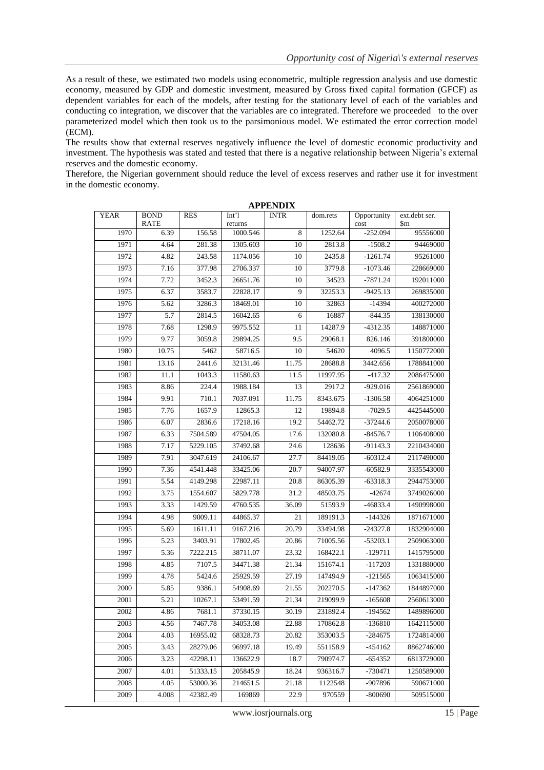As a result of these, we estimated two models using econometric, multiple regression analysis and use domestic economy, measured by GDP and domestic investment, measured by Gross fixed capital formation (GFCF) as dependent variables for each of the models, after testing for the stationary level of each of the variables and conducting co integration, we discover that the variables are co integrated. Therefore we proceeded to the over parameterized model which then took us to the parsimonious model. We estimated the error correction model (ECM).

The results show that external reserves negatively influence the level of domestic economic productivity and investment. The hypothesis was stated and tested that there is a negative relationship between Nigeria's external reserves and the domestic economy.

Therefore, the Nigerian government should reduce the level of excess reserves and rather use it for investment in the domestic economy.

|             |                            |            |                  | ALLER VER   |          |                     |                      |
|-------------|----------------------------|------------|------------------|-------------|----------|---------------------|----------------------|
| <b>YEAR</b> | <b>BOND</b><br><b>RATE</b> | <b>RES</b> | Int'l<br>returns | <b>INTR</b> | dom.rets | Opportunity<br>cost | ext.debt ser.<br>\$m |
| 1970        | 6.39                       | 156.58     | 1000.546         | 8           | 1252.64  | $-252.094$          | 95556000             |
| 1971        | 4.64                       | 281.38     | 1305.603         | 10          | 2813.8   | $-1508.2$           | 94469000             |
| 1972        | 4.82                       | 243.58     | 1174.056         | 10          | 2435.8   | $-1261.74$          | 95261000             |
| 1973        | 7.16                       | 377.98     | 2706.337         | 10          | 3779.8   | $-1073.46$          | 228669000            |
| 1974        | 7.72                       | 3452.3     | 26651.76         | 10          | 34523    | $-7871.24$          | 192011000            |
| 1975        | 6.37                       | 3583.7     | 22828.17         | 9           | 32253.3  | $-9425.13$          | 269835000            |
| 1976        | 5.62                       | 3286.3     | 18469.01         | 10          | 32863    | $-14394$            | 400272000            |
| 1977        | 5.7                        | 2814.5     | 16042.65         | 6           | 16887    | $-844.35$           | 138130000            |
| 1978        | 7.68                       | 1298.9     | 9975.552         | 11          | 14287.9  | -4312.35            | 148871000            |
| 1979        | 9.77                       | 3059.8     | 29894.25         | 9.5         | 29068.1  | 826.146             | 391800000            |
| 1980        | 10.75                      | 5462       | 58716.5          | 10          | 54620    | 4096.5              | 1150772000           |
| 1981        | 13.16                      | 2441.6     | 32131.46         | 11.75       | 28688.8  | 3442.656            | 1788841000           |
| 1982        | 11.1                       | 1043.3     | 11580.63         | 11.5        | 11997.95 | $-417.32$           | 2086475000           |
| 1983        | 8.86                       | 224.4      | 1988.184         | 13          | 2917.2   | $-929.016$          | 2561869000           |
| 1984        | 9.91                       | 710.1      | 7037.091         | 11.75       | 8343.675 | $-1306.58$          | 4064251000           |
| 1985        | 7.76                       | 1657.9     | 12865.3          | 12          | 19894.8  | $-7029.5$           | 4425445000           |
| 1986        | 6.07                       | 2836.6     | 17218.16         | 19.2        | 54462.72 | $-37244.6$          | 2050078000           |
| 1987        | 6.33                       | 7504.589   | 47504.05         | 17.6        | 132080.8 | $-84576.7$          | 1106408000           |
| 1988        | 7.17                       | 5229.105   | 37492.68         | 24.6        | 128636   | $-91143.3$          | 2210434000           |
| 1989        | 7.91                       | 3047.619   | 24106.67         | 27.7        | 84419.05 | $-60312.4$          | 2117490000           |
| 1990        | 7.36                       | 4541.448   | 33425.06         | 20.7        | 94007.97 | $-60582.9$          | 3335543000           |
| 1991        | 5.54                       | 4149.298   | 22987.11         | 20.8        | 86305.39 | $-63318.3$          | 2944753000           |
| 1992        | 3.75                       | 1554.607   | 5829.778         | 31.2        | 48503.75 | $-42674$            | 3749026000           |
| 1993        | 3.33                       | 1429.59    | 4760.535         | 36.09       | 51593.9  | $-46833.4$          | 1490998000           |
| 1994        | 4.98                       | 9009.11    | 44865.37         | 21          | 189191.3 | $-144326$           | 1871671000           |
| 1995        | 5.69                       | 1611.11    | 9167.216         | 20.79       | 33494.98 | $-24327.8$          | 1832904000           |
| 1996        | 5.23                       | 3403.91    | 17802.45         | 20.86       | 71005.56 | $-53203.1$          | 2509063000           |
| 1997        | 5.36                       | 7222.215   | 38711.07         | 23.32       | 168422.1 | $-129711$           | 1415795000           |
| 1998        | 4.85                       | 7107.5     | 34471.38         | 21.34       | 151674.1 | $-117203$           | 1331880000           |
| 1999        | 4.78                       | 5424.6     | 25929.59         | 27.19       | 147494.9 | $-121565$           | 1063415000           |
| 2000        | 5.85                       | 9386.1     | 54908.69         | 21.55       | 202270.5 | $-147362$           | 1844897000           |
| 2001        | 5.21                       | 10267.1    | 53491.59         | 21.34       | 219099.9 | $-165608$           | 2560613000           |
| 2002        | 4.86                       | 7681.1     | 37330.15         | 30.19       | 231892.4 | $-194562$           | 1489896000           |
| 2003        | 4.56                       | 7467.78    | 34053.08         | 22.88       | 170862.8 | $-136810$           | 1642115000           |
| 2004        | 4.03                       | 16955.02   | 68328.73         | 20.82       | 353003.5 | $-284675$           | 1724814000           |
| 2005        | 3.43                       | 28279.06   | 96997.18         | 19.49       | 551158.9 | $-454162$           | 8862746000           |
| 2006        | 3.23                       | 42298.11   | 136622.9         | 18.7        | 790974.7 | $-654352$           | 6813729000           |
| 2007        | 4.01                       | 51333.15   | 205845.9         | 18.24       | 936316.7 | $-730471$           | 1250589000           |
| 2008        | 4.05                       | 53000.36   | 214651.5         | 21.18       | 1122548  | -907896             | 590671000            |
| 2009        | 4.008                      | 42382.49   | 169869           | 22.9        | 970559   | $-800690$           | 509515000            |

**APPENDIX**